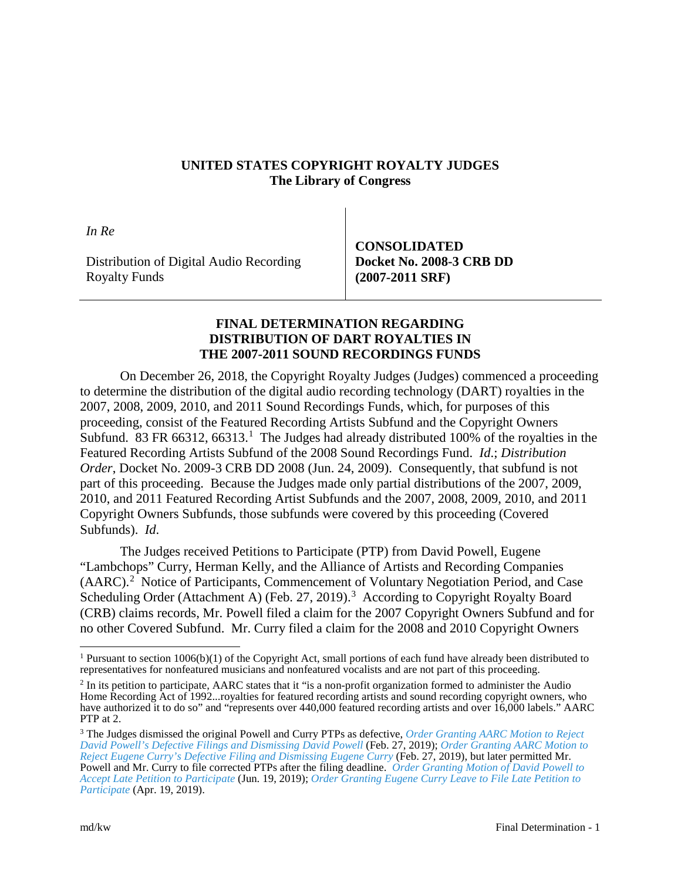## **UNITED STATES COPYRIGHT ROYALTY JUDGES The Library of Congress**

*In Re*

Distribution of Digital Audio Recording Royalty Funds

**CONSOLIDATED Docket No. 2008-3 CRB DD (2007-2011 SRF)**

## **FINAL DETERMINATION REGARDING DISTRIBUTION OF DART ROYALTIES IN THE 2007-2011 SOUND RECORDINGS FUNDS**

On December 26, 2018, the Copyright Royalty Judges (Judges) commenced a proceeding to determine the distribution of the digital audio recording technology (DART) royalties in the 2007, 2008, 2009, 2010, and 2011 Sound Recordings Funds, which, for purposes of this proceeding, consist of the Featured Recording Artists Subfund and the Copyright Owners Subfund. 83 FR  $66312, 66313$  $66312, 66313$  $66312, 66313$ <sup>1</sup> The Judges had already distributed 100% of the royalties in the Featured Recording Artists Subfund of the 2008 Sound Recordings Fund. *Id*.; *Distribution Order*, Docket No. 2009-3 CRB DD 2008 (Jun. 24, 2009). Consequently, that subfund is not part of this proceeding. Because the Judges made only partial distributions of the 2007, 2009, 2010, and 2011 Featured Recording Artist Subfunds and the 2007, 2008, 2009, 2010, and 2011 Copyright Owners Subfunds, those subfunds were covered by this proceeding (Covered Subfunds). *Id*.

The Judges received Petitions to Participate (PTP) from David Powell, Eugene "Lambchops" Curry, Herman Kelly, and the Alliance of Artists and Recording Companies (AARC).<sup>[2](#page-0-1)</sup> Notice of Participants, Commencement of Voluntary Negotiation Period, and Case Scheduling Order (Attachment A) (Feb. 27, 2019).<sup>[3](#page-0-2)</sup> According to Copyright Royalty Board (CRB) claims records, Mr. Powell filed a claim for the 2007 Copyright Owners Subfund and for no other Covered Subfund. Mr. Curry filed a claim for the 2008 and 2010 Copyright Owners

<span id="page-0-0"></span><sup>&</sup>lt;sup>1</sup> Pursuant to section  $1006(b)(1)$  of the Copyright Act, small portions of each fund have already been distributed to representatives for nonfeatured musicians and nonfeatured vocalists and are not part of this proceeding.

<span id="page-0-1"></span><sup>&</sup>lt;sup>2</sup> In its petition to participate, AARC states that it "is a non-profit organization formed to administer the Audio Home Recording Act of 1992...royalties for featured recording artists and sound recording copyright owners, who have authorized it to do so" and "represents over 440,000 featured recording artists and over 16,000 labels." AARC PTP at 2.

<span id="page-0-2"></span><sup>3</sup> The Judges dismissed the original Powell and Curry PTPs as defective, *[Order Granting AARC Motion to Reject](https://app.crb.gov/case/viewDocument/3733)  [David Powell's Defective Filings and Dismissing David Powell](https://app.crb.gov/case/viewDocument/3733)* (Feb. 27, 2019); *[Order Granting AARC Motion to](https://app.crb.gov/case/viewDocument/3732)  [Reject Eugene Curry's Defective Filing and Dismissing Eugene Curry](https://app.crb.gov/case/viewDocument/3732)* (Feb. 27, 2019), but later permitted Mr. Powell and Mr. Curry to file corrected PTPs after the filing deadline. *[Order Granting Motion of David Powell to](https://app.crb.gov/case/viewDocument/3992)  [Accept Late Petition to Participate](https://app.crb.gov/case/viewDocument/3992)* (Jun. 19, 2019); *[Order Granting Eugene Curry Leave to File Late Petition to](https://app.crb.gov/case/viewDocument/3860)  [Participate](https://app.crb.gov/case/viewDocument/3860)* (Apr. 19, 2019).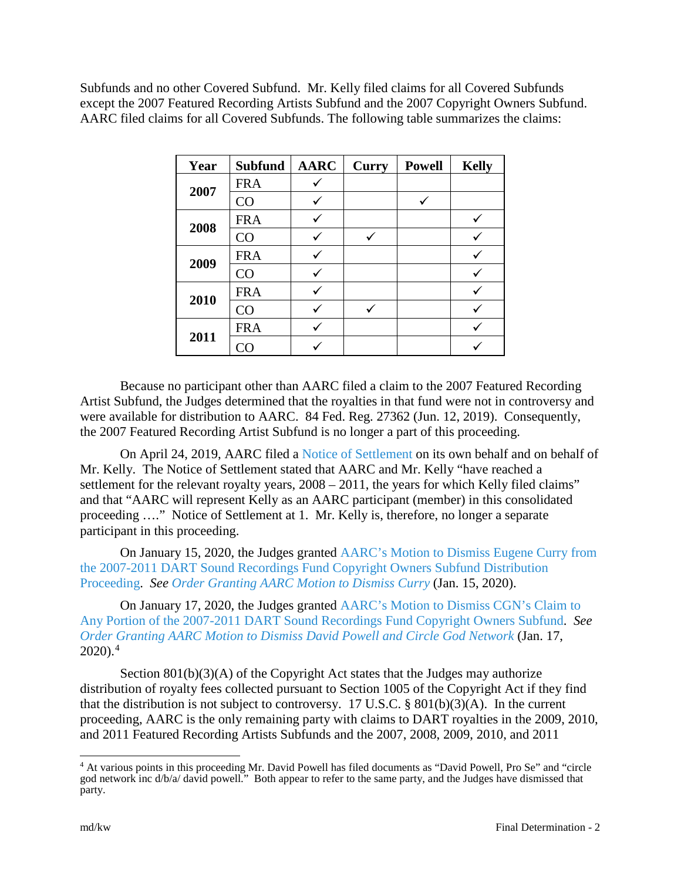Subfunds and no other Covered Subfund. Mr. Kelly filed claims for all Covered Subfunds except the 2007 Featured Recording Artists Subfund and the 2007 Copyright Owners Subfund. AARC filed claims for all Covered Subfunds. The following table summarizes the claims:

| Year | <b>Subfund</b> | <b>AARC</b> | Curry | <b>Powell</b> | <b>Kelly</b> |
|------|----------------|-------------|-------|---------------|--------------|
| 2007 | <b>FRA</b>     |             |       |               |              |
|      | CO             |             |       |               |              |
| 2008 | <b>FRA</b>     |             |       |               |              |
|      | CO             |             | ✓     |               |              |
| 2009 | <b>FRA</b>     |             |       |               |              |
|      | CO             |             |       |               |              |
| 2010 | <b>FRA</b>     |             |       |               |              |
|      | CO             |             |       |               |              |
| 2011 | <b>FRA</b>     |             |       |               |              |
|      | CO             |             |       |               |              |

Because no participant other than AARC filed a claim to the 2007 Featured Recording Artist Subfund, the Judges determined that the royalties in that fund were not in controversy and were available for distribution to AARC. 84 Fed. Reg. 27362 (Jun. 12, 2019). Consequently, the 2007 Featured Recording Artist Subfund is no longer a part of this proceeding.

On April 24, 2019, AARC filed a [Notice of Settlement](https://app.crb.gov/case/viewDocument/3872) on its own behalf and on behalf of Mr. Kelly. The Notice of Settlement stated that AARC and Mr. Kelly "have reached a settlement for the relevant royalty years, 2008 – 2011, the years for which Kelly filed claims" and that "AARC will represent Kelly as an AARC participant (member) in this consolidated proceeding …." Notice of Settlement at 1. Mr. Kelly is, therefore, no longer a separate participant in this proceeding.

On January 15, 2020, the Judges granted [AARC's Motion to Dismiss Eugene Curry from](https://app.crb.gov/case/viewDocument/12340)  [the 2007-2011 DART Sound Recordings Fund Copyright Owners Subfund Distribution](https://app.crb.gov/case/viewDocument/12340)  [Proceeding.](https://app.crb.gov/case/viewDocument/12340) *See [Order Granting AARC Motion to Dismiss Curry](https://app.crb.gov/case/viewDocument/20245)* (Jan. 15, 2020).

On January 17, 2020, the Judges granted [AARC's Motion to Dismiss CGN's Claim to](https://app.crb.gov/case/viewDocument/12213)  [Any Portion of the 2007-2011 DART Sound Recordings Fund Copyright Owners Subfund.](https://app.crb.gov/case/viewDocument/12213) *See [Order Granting AARC Motion to Dismiss David Powell and Circle God Network](https://app.crb.gov/case/viewDocument/20245)* (Jan. 17,  $2020$ ).<sup>[4](#page-1-0)</sup>

Section  $801(b)(3)(A)$  of the Copyright Act states that the Judges may authorize distribution of royalty fees collected pursuant to Section 1005 of the Copyright Act if they find that the distribution is not subject to controversy. 17 U.S.C.  $\S 801(b)(3)(A)$ . In the current proceeding, AARC is the only remaining party with claims to DART royalties in the 2009, 2010, and 2011 Featured Recording Artists Subfunds and the 2007, 2008, 2009, 2010, and 2011

<span id="page-1-0"></span> <sup>4</sup> At various points in this proceeding Mr. David Powell has filed documents as "David Powell, Pro Se" and "circle god network inc d/b/a/ david powell." Both appear to refer to the same party, and the Judges have dismissed that party.